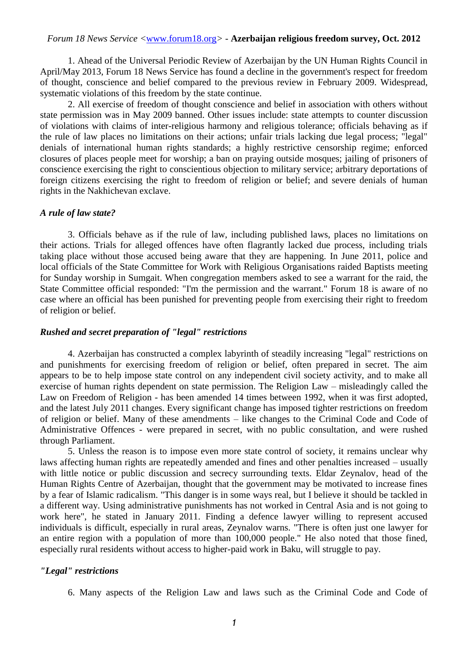### *Forum 18 News Service <*www.forum18.org*> -* **Azerbaijan religious freedom survey, Oct. 2012**

1. Ahead of the Universal Periodic Review of Azerbaijan by the UN Human Rights Council in April/May 2013, Forum 18 News Service has found a decline in the government's respect for freedom of thought, conscience and belief compared to the previous review in February 2009. Widespread, systematic violations of this freedom by the state continue.

2. All exercise of freedom of thought conscience and belief in association with others without state permission was in May 2009 banned. Other issues include: state attempts to counter discussion of violations with claims of inter-religious harmony and religious tolerance; officials behaving as if the rule of law places no limitations on their actions; unfair trials lacking due legal process; "legal" denials of international human rights standards; a highly restrictive censorship regime; enforced closures of places people meet for worship; a ban on praying outside mosques; jailing of prisoners of conscience exercising the right to conscientious objection to military service; arbitrary deportations of foreign citizens exercising the right to freedom of religion or belief; and severe denials of human rights in the Nakhichevan exclave.

#### *A rule of law state?*

3. Officials behave as if the rule of law, including published laws, places no limitations on their actions. Trials for alleged offences have often flagrantly lacked due process, including trials taking place without those accused being aware that they are happening. In June 2011, police and local officials of the State Committee for Work with Religious Organisations raided Baptists meeting for Sunday worship in Sumgait. When congregation members asked to see a warrant for the raid, the State Committee official responded: "I'm the permission and the warrant." Forum 18 is aware of no case where an official has been punished for preventing people from exercising their right to freedom of religion or belief.

#### *Rushed and secret preparation of "legal" restrictions*

4. Azerbaijan has constructed a complex labyrinth of steadily increasing "legal" restrictions on and punishments for exercising freedom of religion or belief, often prepared in secret. The aim appears to be to help impose state control on any independent civil society activity, and to make all exercise of human rights dependent on state permission. The Religion Law – misleadingly called the Law on Freedom of Religion - has been amended 14 times between 1992, when it was first adopted, and the latest July 2011 changes. Every significant change has imposed tighter restrictions on freedom of religion or belief. Many of these amendments – like changes to the Criminal Code and Code of Administrative Offences - were prepared in secret, with no public consultation, and were rushed through Parliament.

5. Unless the reason is to impose even more state control of society, it remains unclear why laws affecting human rights are repeatedly amended and fines and other penalties increased – usually with little notice or public discussion and secrecy surrounding texts. Eldar Zeynalov, head of the Human Rights Centre of Azerbaijan, thought that the government may be motivated to increase fines by a fear of Islamic radicalism. "This danger is in some ways real, but I believe it should be tackled in a different way. Using administrative punishments has not worked in Central Asia and is not going to work here", he stated in January 2011. Finding a defence lawyer willing to represent accused individuals is difficult, especially in rural areas, Zeynalov warns. "There is often just one lawyer for an entire region with a population of more than 100,000 people." He also noted that those fined, especially rural residents without access to higher-paid work in Baku, will struggle to pay.

#### *"Legal" restrictions*

6. Many aspects of the Religion Law and laws such as the Criminal Code and Code of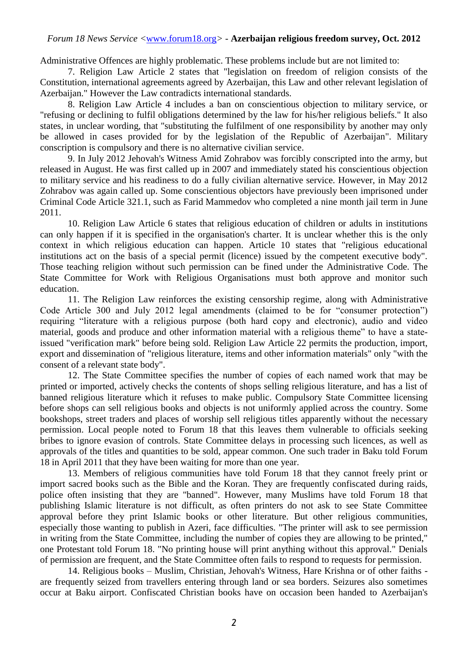### *Forum 18 News Service <*www.forum18.org*> -* **Azerbaijan religious freedom survey, Oct. 2012**

Administrative Offences are highly problematic. These problems include but are not limited to:

7. Religion Law Article 2 states that "legislation on freedom of religion consists of the Constitution, international agreements agreed by Azerbaijan, this Law and other relevant legislation of Azerbaijan." However the Law contradicts international standards.

8. Religion Law Article 4 includes a ban on conscientious objection to military service, or "refusing or declining to fulfil obligations determined by the law for his/her religious beliefs." It also states, in unclear wording, that "substituting the fulfilment of one responsibility by another may only be allowed in cases provided for by the legislation of the Republic of Azerbaijan". Military conscription is compulsory and there is no alternative civilian service.

9. In July 2012 Jehovah's Witness Amid Zohrabov was forcibly conscripted into the army, but released in August. He was first called up in 2007 and immediately stated his conscientious objection to military service and his readiness to do a fully civilian alternative service. However, in May 2012 Zohrabov was again called up. Some conscientious objectors have previously been imprisoned under Criminal Code Article 321.1, such as Farid Mammedov who completed a nine month jail term in June 2011.

10. Religion Law Article 6 states that religious education of children or adults in institutions can only happen if it is specified in the organisation's charter. It is unclear whether this is the only context in which religious education can happen. Article 10 states that "religious educational institutions act on the basis of a special permit (licence) issued by the competent executive body". Those teaching religion without such permission can be fined under the Administrative Code. The State Committee for Work with Religious Organisations must both approve and monitor such education.

11. The Religion Law reinforces the existing censorship regime, along with Administrative Code Article 300 and July 2012 legal amendments (claimed to be for "consumer protection") requiring "literature with a religious purpose (both hard copy and electronic), audio and video material, goods and produce and other information material with a religious theme" to have a stateissued "verification mark" before being sold. Religion Law Article 22 permits the production, import, export and dissemination of "religious literature, items and other information materials" only "with the consent of a relevant state body".

12. The State Committee specifies the number of copies of each named work that may be printed or imported, actively checks the contents of shops selling religious literature, and has a list of banned religious literature which it refuses to make public. Compulsory State Committee licensing before shops can sell religious books and objects is not uniformly applied across the country. Some bookshops, street traders and places of worship sell religious titles apparently without the necessary permission. Local people noted to Forum 18 that this leaves them vulnerable to officials seeking bribes to ignore evasion of controls. State Committee delays in processing such licences, as well as approvals of the titles and quantities to be sold, appear common. One such trader in Baku told Forum 18 in April 2011 that they have been waiting for more than one year.

13. Members of religious communities have told Forum 18 that they cannot freely print or import sacred books such as the Bible and the Koran. They are frequently confiscated during raids, police often insisting that they are "banned". However, many Muslims have told Forum 18 that publishing Islamic literature is not difficult, as often printers do not ask to see State Committee approval before they print Islamic books or other literature. But other religious communities, especially those wanting to publish in Azeri, face difficulties. "The printer will ask to see permission in writing from the State Committee, including the number of copies they are allowing to be printed," one Protestant told Forum 18. "No printing house will print anything without this approval." Denials of permission are frequent, and the State Committee often fails to respond to requests for permission.

14. Religious books – Muslim, Christian, Jehovah's Witness, Hare Krishna or of other faiths are frequently seized from travellers entering through land or sea borders. Seizures also sometimes occur at Baku airport. Confiscated Christian books have on occasion been handed to Azerbaijan's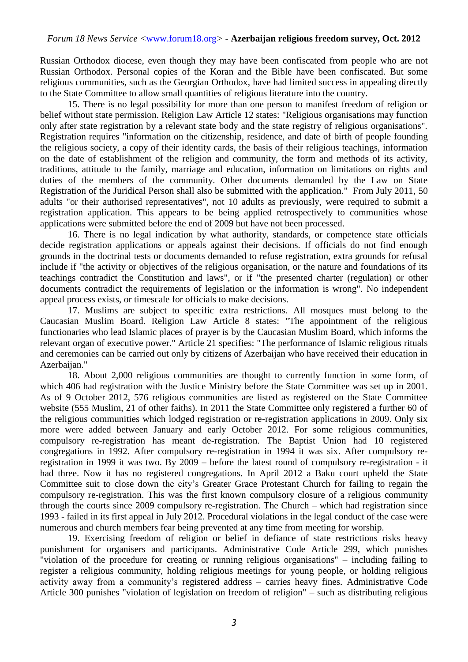Russian Orthodox diocese, even though they may have been confiscated from people who are not Russian Orthodox. Personal copies of the Koran and the Bible have been confiscated. But some religious communities, such as the Georgian Orthodox, have had limited success in appealing directly to the State Committee to allow small quantities of religious literature into the country.

15. There is no legal possibility for more than one person to manifest freedom of religion or belief without state permission. Religion Law Article 12 states: "Religious organisations may function only after state registration by a relevant state body and the state registry of religious organisations". Registration requires "information on the citizenship, residence, and date of birth of people founding the religious society, a copy of their identity cards, the basis of their religious teachings, information on the date of establishment of the religion and community, the form and methods of its activity, traditions, attitude to the family, marriage and education, information on limitations on rights and duties of the members of the community. Other documents demanded by the Law on State Registration of the Juridical Person shall also be submitted with the application." From July 2011, 50 adults "or their authorised representatives", not 10 adults as previously, were required to submit a registration application. This appears to be being applied retrospectively to communities whose applications were submitted before the end of 2009 but have not been processed.

16. There is no legal indication by what authority, standards, or competence state officials decide registration applications or appeals against their decisions. If officials do not find enough grounds in the doctrinal tests or documents demanded to refuse registration, extra grounds for refusal include if "the activity or objectives of the religious organisation, or the nature and foundations of its teachings contradict the Constitution and laws", or if "the presented charter (regulation) or other documents contradict the requirements of legislation or the information is wrong". No independent appeal process exists, or timescale for officials to make decisions.

17. Muslims are subject to specific extra restrictions. All mosques must belong to the Caucasian Muslim Board. Religion Law Article 8 states: "The appointment of the religious functionaries who lead Islamic places of prayer is by the Caucasian Muslim Board, which informs the relevant organ of executive power." Article 21 specifies: "The performance of Islamic religious rituals and ceremonies can be carried out only by citizens of Azerbaijan who have received their education in Azerbaijan."

18. About 2,000 religious communities are thought to currently function in some form, of which 406 had registration with the Justice Ministry before the State Committee was set up in 2001. As of 9 October 2012, 576 religious communities are listed as registered on the State Committee website (555 Muslim, 21 of other faiths). In 2011 the State Committee only registered a further 60 of the religious communities which lodged registration or re-registration applications in 2009. Only six more were added between January and early October 2012. For some religious communities, compulsory re-registration has meant de-registration. The Baptist Union had 10 registered congregations in 1992. After compulsory re-registration in 1994 it was six. After compulsory reregistration in 1999 it was two. By 2009 – before the latest round of compulsory re-registration - it had three. Now it has no registered congregations. In April 2012 a Baku court upheld the State Committee suit to close down the city's Greater Grace Protestant Church for failing to regain the compulsory re-registration. This was the first known compulsory closure of a religious community through the courts since 2009 compulsory re-registration. The Church – which had registration since 1993 - failed in its first appeal in July 2012. Procedural violations in the legal conduct of the case were numerous and church members fear being prevented at any time from meeting for worship.

19. Exercising freedom of religion or belief in defiance of state restrictions risks heavy punishment for organisers and participants. Administrative Code Article 299, which punishes "violation of the procedure for creating or running religious organisations" – including failing to register a religious community, holding religious meetings for young people, or holding religious activity away from a community's registered address – carries heavy fines. Administrative Code Article 300 punishes "violation of legislation on freedom of religion" – such as distributing religious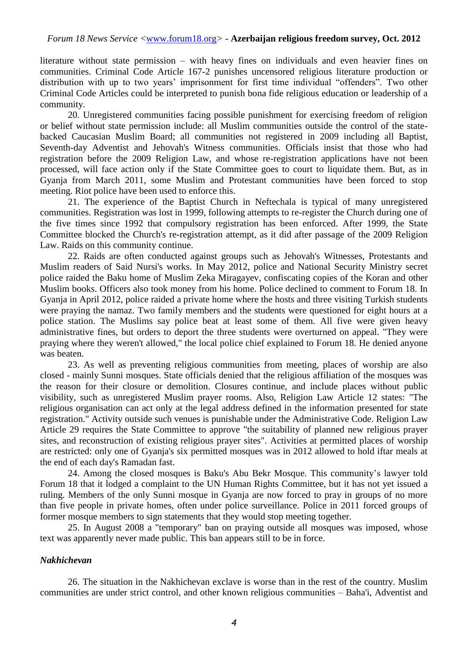literature without state permission – with heavy fines on individuals and even heavier fines on communities. Criminal Code Article 167-2 punishes uncensored religious literature production or distribution with up to two years' imprisonment for first time individual "offenders". Two other Criminal Code Articles could be interpreted to punish bona fide religious education or leadership of a community.

20. Unregistered communities facing possible punishment for exercising freedom of religion or belief without state permission include: all Muslim communities outside the control of the statebacked Caucasian Muslim Board; all communities not registered in 2009 including all Baptist, Seventh-day Adventist and Jehovah's Witness communities. Officials insist that those who had registration before the 2009 Religion Law, and whose re-registration applications have not been processed, will face action only if the State Committee goes to court to liquidate them. But, as in Gyanja from March 2011, some Muslim and Protestant communities have been forced to stop meeting. Riot police have been used to enforce this.

21. The experience of the Baptist Church in Neftechala is typical of many unregistered communities. Registration was lost in 1999, following attempts to re-register the Church during one of the five times since 1992 that compulsory registration has been enforced. After 1999, the State Committee blocked the Church's re-registration attempt, as it did after passage of the 2009 Religion Law. Raids on this community continue.

22. Raids are often conducted against groups such as Jehovah's Witnesses, Protestants and Muslim readers of Said Nursi's works. In May 2012, police and National Security Ministry secret police raided the Baku home of Muslim Zeka Miragayev, confiscating copies of the Koran and other Muslim books. Officers also took money from his home. Police declined to comment to Forum 18. In Gyanja in April 2012, police raided a private home where the hosts and three visiting Turkish students were praying the namaz. Two family members and the students were questioned for eight hours at a police station. The Muslims say police beat at least some of them. All five were given heavy administrative fines, but orders to deport the three students were overturned on appeal. "They were praying where they weren't allowed," the local police chief explained to Forum 18. He denied anyone was beaten.

23. As well as preventing religious communities from meeting, places of worship are also closed - mainly Sunni mosques. State officials denied that the religious affiliation of the mosques was the reason for their closure or demolition. Closures continue, and include places without public visibility, such as unregistered Muslim prayer rooms. Also, Religion Law Article 12 states: "The religious organisation can act only at the legal address defined in the information presented for state registration." Activity outside such venues is punishable under the Administrative Code. Religion Law Article 29 requires the State Committee to approve "the suitability of planned new religious prayer sites, and reconstruction of existing religious prayer sites". Activities at permitted places of worship are restricted: only one of Gyanja's six permitted mosques was in 2012 allowed to hold iftar meals at the end of each day's Ramadan fast.

24. Among the closed mosques is Baku's Abu Bekr Mosque. This community's lawyer told Forum 18 that it lodged a complaint to the UN Human Rights Committee, but it has not yet issued a ruling. Members of the only Sunni mosque in Gyanja are now forced to pray in groups of no more than five people in private homes, often under police surveillance. Police in 2011 forced groups of former mosque members to sign statements that they would stop meeting together.

25. In August 2008 a "temporary" ban on praying outside all mosques was imposed, whose text was apparently never made public. This ban appears still to be in force.

# *Nakhichevan*

26. The situation in the Nakhichevan exclave is worse than in the rest of the country. Muslim communities are under strict control, and other known religious communities – Baha'i, Adventist and